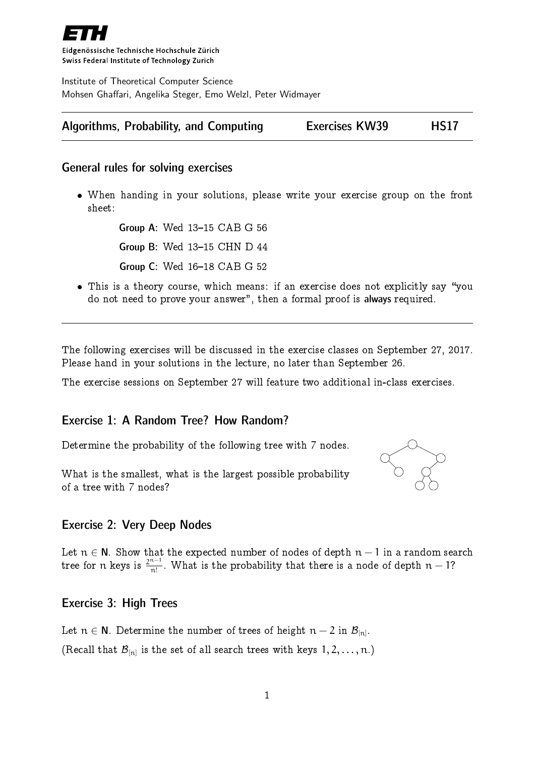

Eidgenössische Technische Hochschule Zürich Swiss Federal Institute of Technology Zurich

Institute of Theoretical Computer Science Mohsen Ghaffari, Angelika Steger, Emo Welzl, Peter Widmayer

## Algorithms, Probability, and Computing Exercises KW39 HS17

#### General rules for solving exercises

 When handing in your solutions, please write your exercise group on the front sheet:

> Group A: Wed 13-15 CAB G 56 **Group B: Wed 13-15 CHN D 44 Group C: Wed 16-18 CAB G 52**

• This is a theory course, which means: if an exercise does not explicitly say "you do not need to prove your answer", then a formal proof is always required.

The following exercises will be discussed in the exercise classes on September 27, 2017. Please hand in your solutions in the lecture, no later than September 26.

The exercise sessions on September 27 will feature two additional in-class exercises.

### Exercise 1: A Random Tree? How Random?

Determine the probability of the following tree with 7 nodes.

What is the smallest, what is the largest possible probability of a tree with 7 nodes?



### Exercise 2: Very Deep Nodes

Let  $n \in \mathsf{N}$ . Show that the expected number of nodes of depth  $n-1$  in a random search tree for  $n$  keys is  $\frac{2^{n-1}}{n!}$  $\frac{n!}{n!}$ . What is the probability that there is a node of depth  $n-1$ ?

### Exercise 3: High Trees

Let  $n \in \mathsf{N}$ . Determine the number of trees of height  $n-2$  in  $\mathcal{B}_{[n]}$ . (Recall that  $\mathcal{B}_{[n]}$  is the set of all search trees with keys  $1, 2, \ldots, n$ .)